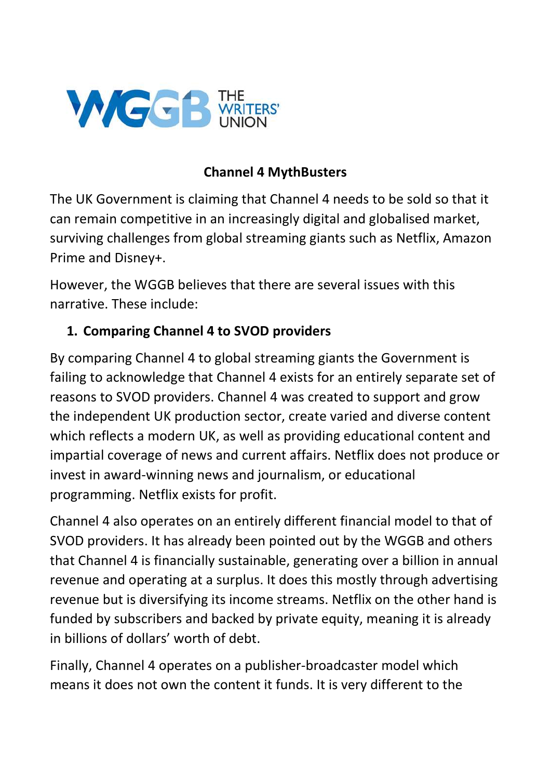

#### Channel 4 MythBusters

The UK Government is claiming that Channel 4 needs to be sold so that it can remain competitive in an increasingly digital and globalised market, surviving challenges from global streaming giants such as Netflix, Amazon Prime and Disney+.

However, the WGGB believes that there are several issues with this narrative. These include:

### 1. Comparing Channel 4 to SVOD providers

By comparing Channel 4 to global streaming giants the Government is failing to acknowledge that Channel 4 exists for an entirely separate set of reasons to SVOD providers. Channel 4 was created to support and grow the independent UK production sector, create varied and diverse content which reflects a modern UK, as well as providing educational content and impartial coverage of news and current affairs. Netflix does not produce or invest in award-winning news and journalism, or educational programming. Netflix exists for profit.

Channel 4 also operates on an entirely different financial model to that of SVOD providers. It has already been pointed out by the WGGB and others that Channel 4 is financially sustainable, generating over a billion in annual revenue and operating at a surplus. It does this mostly through advertising revenue but is diversifying its income streams. Netflix on the other hand is funded by subscribers and backed by private equity, meaning it is already in billions of dollars' worth of debt.

Finally, Channel 4 operates on a publisher-broadcaster model which means it does not own the content it funds. It is very different to the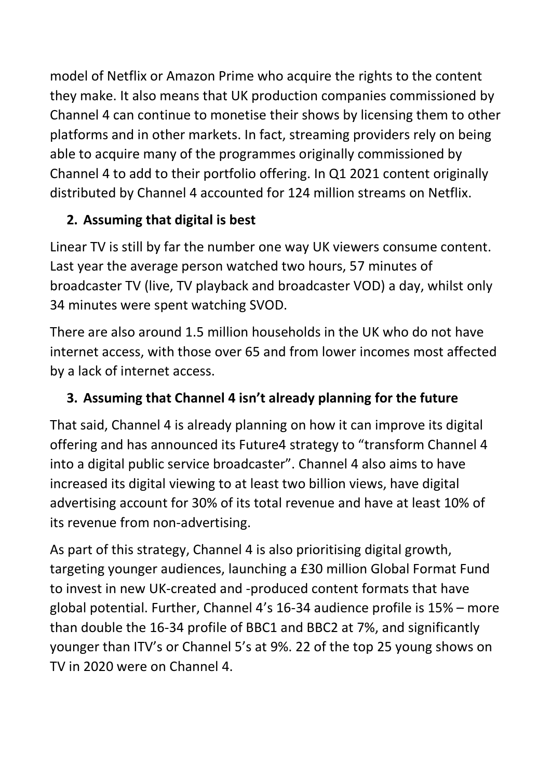model of Netflix or Amazon Prime who acquire the rights to the content they make. It also means that UK production companies commissioned by Channel 4 can continue to monetise their shows by licensing them to other platforms and in other markets. In fact, streaming providers rely on being able to acquire many of the programmes originally commissioned by Channel 4 to add to their portfolio offering. In Q1 2021 content originally distributed by Channel 4 accounted for 124 million streams on Netflix.

# 2. Assuming that digital is best

Linear TV is still by far the number one way UK viewers consume content. Last year the average person watched two hours, 57 minutes of broadcaster TV (live, TV playback and broadcaster VOD) a day, whilst only 34 minutes were spent watching SVOD.

There are also around 1.5 million households in the UK who do not have internet access, with those over 65 and from lower incomes most affected by a lack of internet access.

# 3. Assuming that Channel 4 isn't already planning for the future

That said, Channel 4 is already planning on how it can improve its digital offering and has announced its Future4 strategy to "transform Channel 4 into a digital public service broadcaster". Channel 4 also aims to have increased its digital viewing to at least two billion views, have digital advertising account for 30% of its total revenue and have at least 10% of its revenue from non-advertising.

As part of this strategy, Channel 4 is also prioritising digital growth, targeting younger audiences, launching a £30 million Global Format Fund to invest in new UK-created and -produced content formats that have global potential. Further, Channel 4's 16-34 audience profile is 15% – more than double the 16-34 profile of BBC1 and BBC2 at 7%, and significantly younger than ITV's or Channel 5's at 9%. 22 of the top 25 young shows on TV in 2020 were on Channel 4.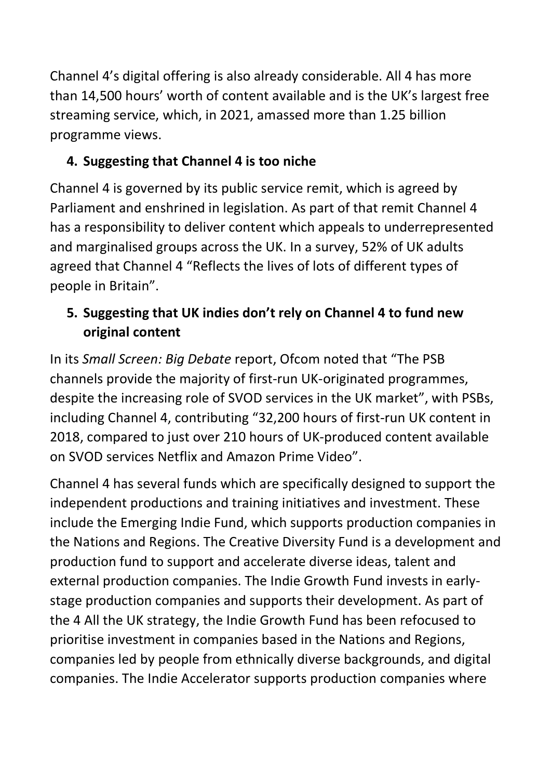Channel 4's digital offering is also already considerable. All 4 has more than 14,500 hours' worth of content available and is the UK's largest free streaming service, which, in 2021, amassed more than 1.25 billion programme views.

# 4. Suggesting that Channel 4 is too niche

Channel 4 is governed by its public service remit, which is agreed by Parliament and enshrined in legislation. As part of that remit Channel 4 has a responsibility to deliver content which appeals to underrepresented and marginalised groups across the UK. In a survey, 52% of UK adults agreed that Channel 4 "Reflects the lives of lots of different types of people in Britain".

# 5. Suggesting that UK indies don't rely on Channel 4 to fund new original content

In its Small Screen: Big Debate report, Ofcom noted that "The PSB channels provide the majority of first-run UK-originated programmes, despite the increasing role of SVOD services in the UK market", with PSBs, including Channel 4, contributing "32,200 hours of first-run UK content in 2018, compared to just over 210 hours of UK-produced content available on SVOD services Netflix and Amazon Prime Video".

Channel 4 has several funds which are specifically designed to support the independent productions and training initiatives and investment. These include the Emerging Indie Fund, which supports production companies in the Nations and Regions. The Creative Diversity Fund is a development and production fund to support and accelerate diverse ideas, talent and external production companies. The Indie Growth Fund invests in earlystage production companies and supports their development. As part of the 4 All the UK strategy, the Indie Growth Fund has been refocused to prioritise investment in companies based in the Nations and Regions, companies led by people from ethnically diverse backgrounds, and digital companies. The Indie Accelerator supports production companies where